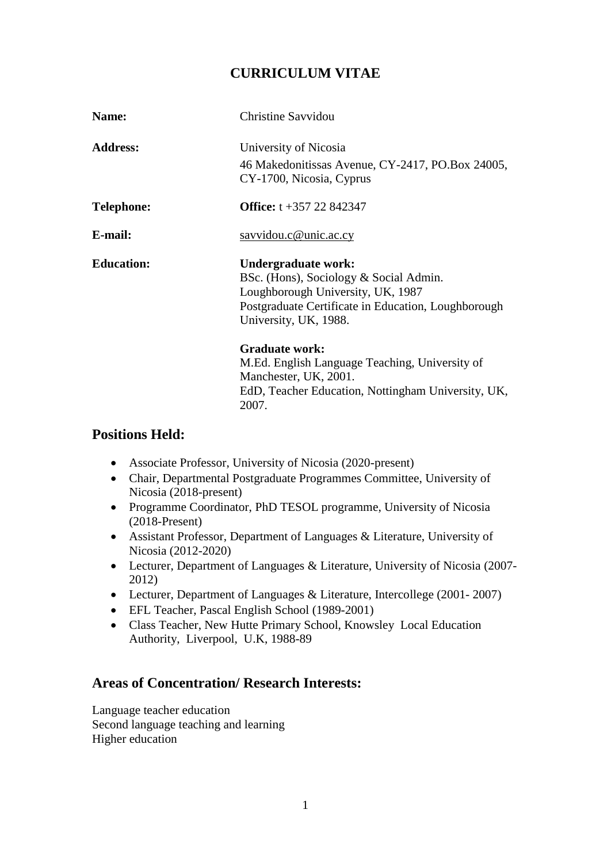# **CURRICULUM VITAE**

| Name:             | <b>Christine Savvidou</b>                                                                                                                                                          |
|-------------------|------------------------------------------------------------------------------------------------------------------------------------------------------------------------------------|
| <b>Address:</b>   | University of Nicosia                                                                                                                                                              |
|                   | 46 Makedonitissas Avenue, CY-2417, PO.Box 24005,<br>CY-1700, Nicosia, Cyprus                                                                                                       |
| <b>Telephone:</b> | <b>Office:</b> $t + 357$ 22 842347                                                                                                                                                 |
| E-mail:           | savvidou.c@unic.ac.cy                                                                                                                                                              |
| <b>Education:</b> | Undergraduate work:<br>BSc. (Hons), Sociology & Social Admin.<br>Loughborough University, UK, 1987<br>Postgraduate Certificate in Education, Loughborough<br>University, UK, 1988. |
|                   | <b>Graduate work:</b><br>M.Ed. English Language Teaching, University of<br>Manchester, UK, 2001.<br>EdD, Teacher Education, Nottingham University, UK,<br>2007.                    |

## **Positions Held:**

- Associate Professor, University of Nicosia (2020-present)
- Chair, Departmental Postgraduate Programmes Committee, University of Nicosia (2018-present)
- Programme Coordinator, PhD TESOL programme, University of Nicosia (2018-Present)
- Assistant Professor, Department of Languages & Literature, University of Nicosia (2012-2020)
- Lecturer, Department of Languages & Literature, University of Nicosia (2007- 2012)
- Lecturer, Department of Languages & Literature, Intercollege (2001-2007)
- EFL Teacher, Pascal English School (1989-2001)
- Class Teacher, New Hutte Primary School, Knowsley Local Education Authority, Liverpool, U.K, 1988-89

## **Areas of Concentration/ Research Interests:**

Language teacher education Second language teaching and learning Higher education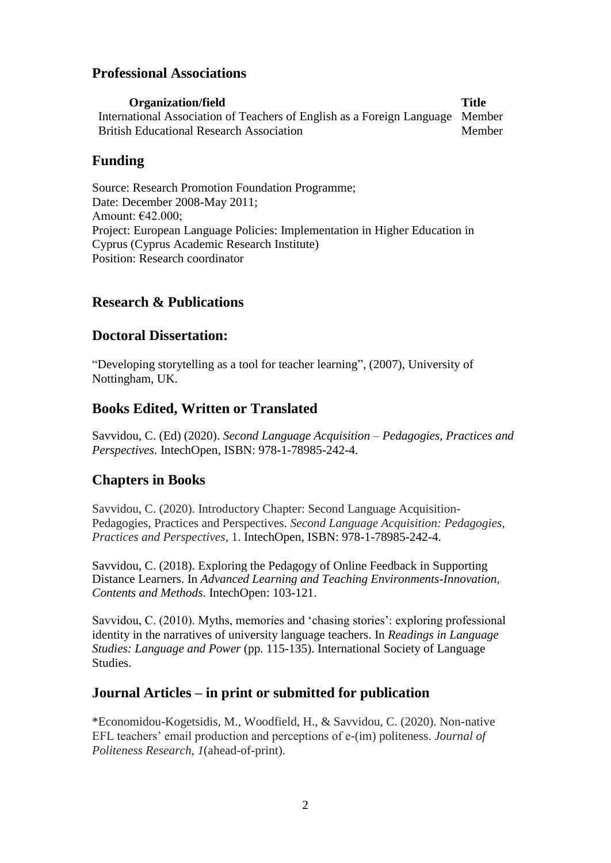## **Professional Associations**

**Organization/field Title** International Association of Teachers of English as a Foreign Language Member British Educational Research Association Member

## **Funding**

Source: Research Promotion Foundation Programme; Date: December 2008-May 2011; Amount: €42.000; Project: European Language Policies: Implementation in Higher Education in Cyprus (Cyprus Academic Research Institute) Position: Research coordinator

## **Research & Publications**

### **Doctoral Dissertation:**

"Developing storytelling as a tool for teacher learning", (2007), University of Nottingham, UK.

## **Books Edited, Written or Translated**

Savvidou, C. (Ed) (2020). *Second Language Acquisition – Pedagogies, Practices and Perspectives*. IntechOpen, ISBN: 978-1-78985-242-4.

## **Chapters in Books**

Savvidou, C. (2020). Introductory Chapter: Second Language Acquisition-Pedagogies, Practices and Perspectives. *Second Language Acquisition: Pedagogies, Practices and Perspectives*, 1. IntechOpen, ISBN: 978-1-78985-242-4.

Savvidou, C. (2018). Exploring the Pedagogy of Online Feedback in Supporting Distance Learners. In *Advanced Learning and Teaching Environments-Innovation, Contents and Methods*. IntechOpen: 103-121.

Savvidou, C. (2010). Myths, memories and 'chasing stories': exploring professional identity in the narratives of university language teachers. In *Readings in Language Studies: Language and Power* (pp. 115-135). International Society of Language Studies.

### **Journal Articles – in print or submitted for publication**

\*Economidou-Kogetsidis, M., Woodfield, H., & Savvidou, C. (2020). Non-native EFL teachers' email production and perceptions of e-(im) politeness. *Journal of Politeness Research*, *1*(ahead-of-print).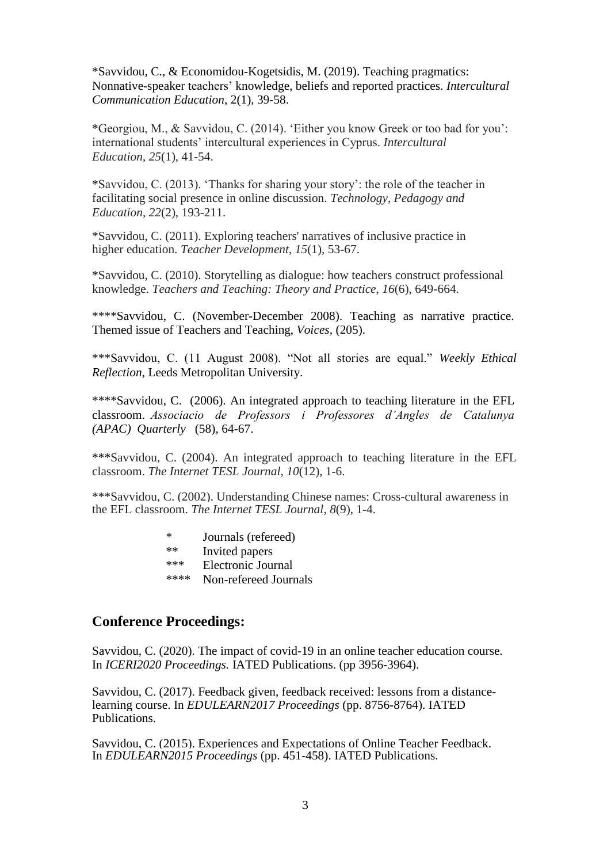\*Savvidou, C., & Economidou-Kogetsidis, M. (2019). Teaching pragmatics: Nonnative-speaker teachers' knowledge, beliefs and reported practices. *Intercultural Communication Education*, 2(1), 39-58.

\*Georgiou, M., & Savvidou, C. (2014). 'Either you know Greek or too bad for you': international students' intercultural experiences in Cyprus. *Intercultural Education*, *25*(1), 41-54.

\*Savvidou, C. (2013). 'Thanks for sharing your story': the role of the teacher in facilitating social presence in online discussion. *Technology, Pedagogy and Education*, *22*(2), 193-211.

\*Savvidou, C. (2011). Exploring teachers' narratives of inclusive practice in higher education. *Teacher Development*, *15*(1), 53-67.

\*Savvidou, C. (2010). Storytelling as dialogue: how teachers construct professional knowledge. *Teachers and Teaching: Theory and Practice*, *16*(6), 649-664.

\*\*\*\*Savvidou, C. (November-December 2008). Teaching as narrative practice. Themed issue of Teachers and Teaching, *Voices*, (205).

\*\*\*Savvidou, C. (11 August 2008). "Not all stories are equal." *Weekly Ethical Reflection*, Leeds Metropolitan University.

\*\*\*\*Savvidou, C. (2006). An integrated approach to teaching literature in the EFL classroom. *Associacio de Professors i Professores d'Angles de Catalunya (APAC) Quarterly* (58), 64-67.

\*\*\*Savvidou, C. (2004). An integrated approach to teaching literature in the EFL classroom. *The Internet TESL Journal*, *10*(12), 1-6.

\*\*\*Savvidou, C. (2002). Understanding Chinese names: Cross-cultural awareness in the EFL classroom. *The Internet TESL Journal*, *8*(9), 1-4.

- \* Journals (refereed)
- \*\* Invited papers
- \*\*\* Electronic Journal
- \*\*\*\* Non-refereed Journals

#### **Conference Proceedings:**

Savvidou, C. (2020). The impact of covid-19 in an online teacher education course. In *ICERI2020 Proceedings.* IATED Publications. (pp 3956-3964).

Savvidou, C. (2017). Feedback given, feedback received: lessons from a distancelearning course. In *EDULEARN2017 Proceedings* (pp. 8756-8764). IATED Publications.

Savvidou, C. (2015). Experiences and Expectations of Online Teacher Feedback. In *EDULEARN2015 Proceedings* (pp. 451-458). IATED Publications.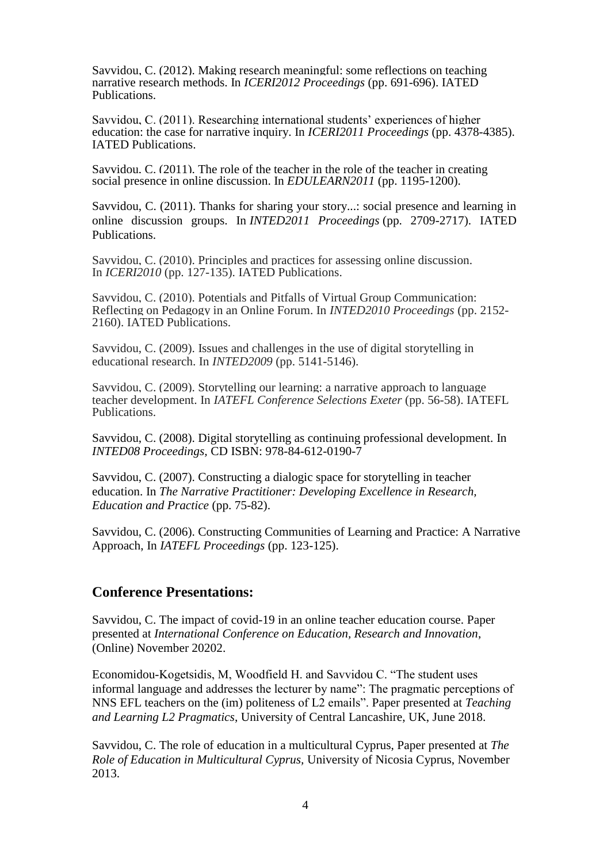Savvidou, C. (2012). Making research meaningful: some reflections on teaching narrative research methods. In *ICERI2012 Proceedings* (pp. 691-696). IATED Publications.

Savvidou, C. (2011). Researching international students' experiences of higher education: the case for narrative inquiry. In *ICERI2011 Proceedings* (pp. 4378-4385). IATED Publications.

Savvidou, C. (2011). The role of the teacher in the role of the teacher in creating social presence in online discussion. In *EDULEARN2011* (pp. 1195-1200).

Savvidou, C. (2011). Thanks for sharing your story...: social presence and learning in online discussion groups. In *INTED2011 Proceedings* (pp. 2709-2717). IATED Publications.

Savvidou, C. (2010). Principles and practices for assessing online discussion. In *ICERI2010* (pp. 127-135). IATED Publications.

Savvidou, C. (2010). Potentials and Pitfalls of Virtual Group Communication: Reflecting on Pedagogy in an Online Forum. In *INTED2010 Proceedings* (pp. 2152- 2160). IATED Publications.

Savvidou, C. (2009). Issues and challenges in the use of digital storytelling in educational research. In *INTED2009* (pp. 5141-5146).

Savvidou, C. (2009). Storytelling our learning: a narrative approach to language teacher development. In *IATEFL Conference Selections Exeter* (pp. 56-58). IATEFL Publications.

Savvidou, C. (2008). Digital storytelling as continuing professional development. In *INTED08 Proceedings,* CD ISBN: 978-84-612-0190-7

Savvidou, C. (2007). Constructing a dialogic space for storytelling in teacher education. In *The Narrative Practitioner: Developing Excellence in Research, Education and Practice* (pp. 75-82).

Savvidou, C. (2006). Constructing Communities of Learning and Practice: A Narrative Approach, In *IATEFL Proceedings* (pp. 123-125).

### **Conference Presentations:**

Savvidou, C. The impact of covid-19 in an online teacher education course. Paper presented at *International Conference on Education, Research and Innovation*, (Online) November 20202.

Economidou-Kogetsidis, M, Woodfield H. and Savvidou C. "The student uses informal language and addresses the lecturer by name": The pragmatic perceptions of NNS EFL teachers on the (im) politeness of L2 emails". Paper presented at *Teaching and Learning L2 Pragmatics*, University of Central Lancashire, UK, June 2018.

Savvidou, C. The role of education in a multicultural Cyprus, Paper presented at *The Role of Education in Multicultural Cyprus,* University of Nicosia Cyprus, November 2013.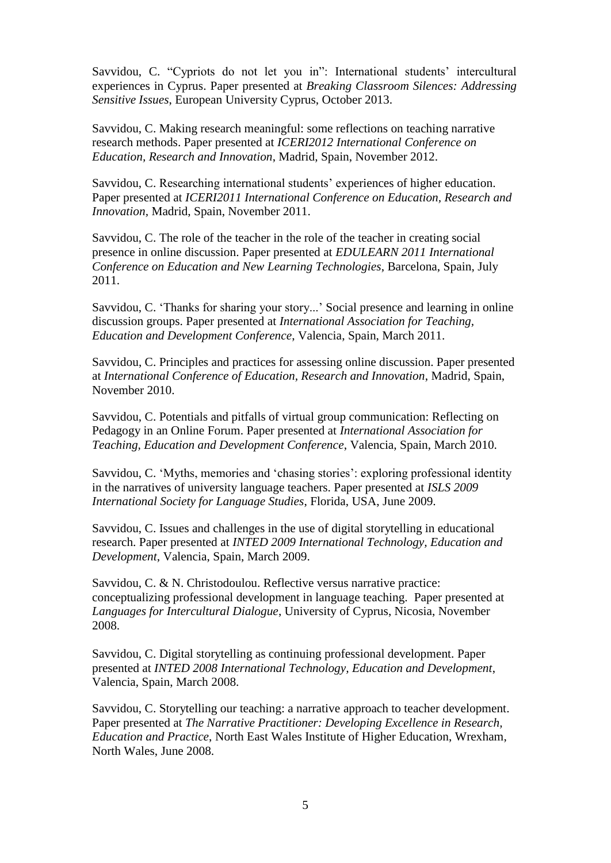Savvidou, C. "Cypriots do not let you in": International students' intercultural experiences in Cyprus. Paper presented at *Breaking Classroom Silences: Addressing Sensitive Issues*, European University Cyprus, October 2013.

Savvidou, C. Making research meaningful: some reflections on teaching narrative research methods. Paper presented at *ICERI2012 International Conference on Education, Research and Innovation*, Madrid, Spain, November 2012.

Savvidou, C. Researching international students' experiences of higher education. Paper presented at *ICERI2011 International Conference on Education, Research and Innovation,* Madrid, Spain, November 2011.

Savvidou, C. The role of the teacher in the role of the teacher in creating social presence in online discussion. Paper presented at *EDULEARN 2011 International Conference on Education and New Learning Technologies*, Barcelona, Spain, July 2011.

Savvidou, C. 'Thanks for sharing your story...' Social presence and learning in online discussion groups. Paper presented at *International Association for Teaching, Education and Development Conference*, Valencia, Spain, March 2011.

Savvidou, C. Principles and practices for assessing online discussion. Paper presented at *International Conference of Education, Research and Innovation*, Madrid, Spain, November 2010.

Savvidou, C. Potentials and pitfalls of virtual group communication: Reflecting on Pedagogy in an Online Forum. Paper presented at *International Association for Teaching, Education and Development Conference*, Valencia, Spain, March 2010.

Savvidou, C. 'Myths, memories and 'chasing stories': exploring professional identity in the narratives of university language teachers. Paper presented at *ISLS 2009 International Society for Language Studies*, Florida, USA, June 2009.

Savvidou, C. Issues and challenges in the use of digital storytelling in educational research. Paper presented at *INTED 2009 International Technology, Education and Development*, Valencia, Spain, March 2009.

Savvidou, C. & N. Christodoulou. Reflective versus narrative practice: conceptualizing professional development in language teaching. Paper presented at *Languages for Intercultural Dialogue*, University of Cyprus, Nicosia, November 2008.

Savvidou, C. Digital storytelling as continuing professional development. Paper presented at *INTED 2008 International Technology, Education and Development*, Valencia, Spain, March 2008.

Savvidou, C. Storytelling our teaching: a narrative approach to teacher development. Paper presented at *The Narrative Practitioner: Developing Excellence in Research, Education and Practice*, North East Wales Institute of Higher Education, Wrexham, North Wales, June 2008.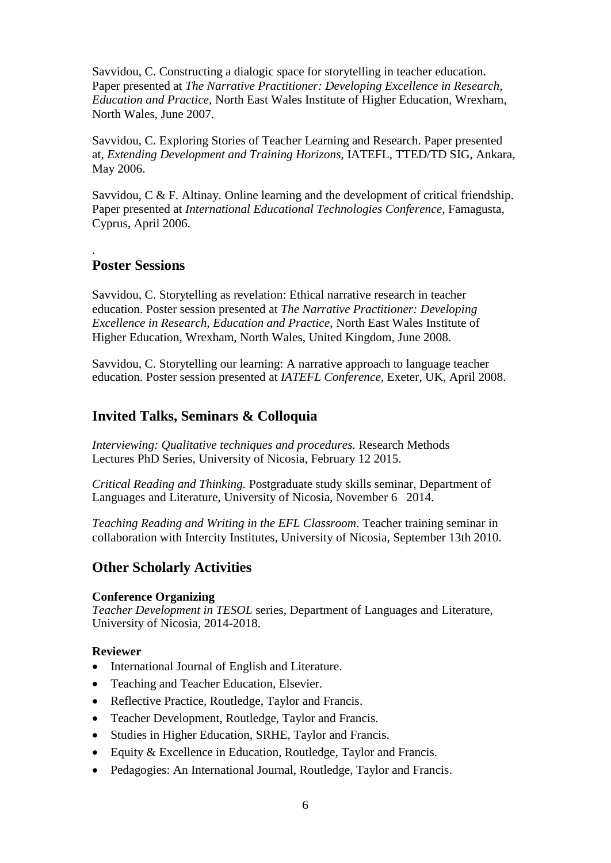Savvidou, C. Constructing a dialogic space for storytelling in teacher education. Paper presented at *The Narrative Practitioner: Developing Excellence in Research, Education and Practice*, North East Wales Institute of Higher Education, Wrexham, North Wales, June 2007.

Savvidou, C. Exploring Stories of Teacher Learning and Research. Paper presented at, *Extending Development and Training Horizons,* IATEFL, TTED/TD SIG, Ankara, May 2006.

Savvidou, C & F. Altinay. Online learning and the development of critical friendship. Paper presented at *International Educational Technologies Conference*, Famagusta, Cyprus, April 2006.

### **Poster Sessions**

.

Savvidou, C. Storytelling as revelation: Ethical narrative research in teacher education. Poster session presented at *The Narrative Practitioner: Developing Excellence in Research, Education and Practice*, North East Wales Institute of Higher Education, Wrexham, North Wales, United Kingdom, June 2008.

Savvidou, C. Storytelling our learning: A narrative approach to language teacher education. Poster session presented at *IATEFL Conference*, Exeter, UK, April 2008.

### **Invited Talks, Seminars & Colloquia**

*Interviewing: Qualitative techniques and procedures.* Research Methods Lectures PhD Series, University of Nicosia, February 12 2015.

*Critical Reading and Thinking.* Postgraduate study skills seminar, Department of Languages and Literature, University of Nicosia, November 6 2014.

*Teaching Reading and Writing in the EFL Classroom*. Teacher training seminar in collaboration with Intercity Institutes, University of Nicosia, September 13th 2010.

#### **Other Scholarly Activities**

#### **Conference Organizing**

*Teacher Development in TESOL* series*,* Department of Languages and Literature, University of Nicosia, 2014-2018.

#### **Reviewer**

- International Journal of English and Literature.
- Teaching and Teacher Education, Elsevier.
- Reflective Practice, Routledge, Taylor and Francis.
- Teacher Development, Routledge, Taylor and Francis.
- Studies in Higher Education, SRHE, Taylor and Francis.
- Equity & Excellence in Education, Routledge, Taylor and Francis.
- Pedagogies: An International Journal, Routledge, Taylor and Francis.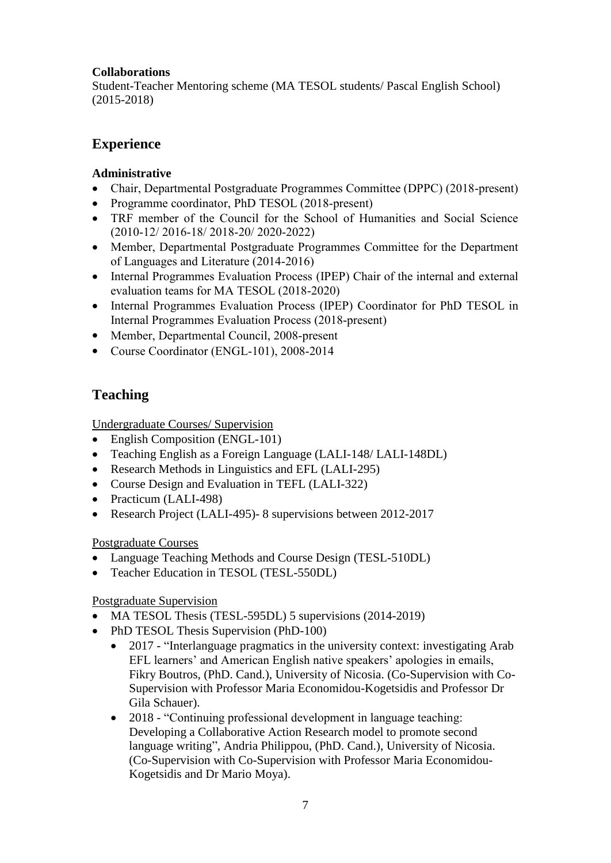#### **Collaborations**

Student-Teacher Mentoring scheme (MA TESOL students/ Pascal English School) (2015-2018)

## **Experience**

#### **Administrative**

- Chair, Departmental Postgraduate Programmes Committee (DPPC) (2018-present)
- Programme coordinator, PhD TESOL (2018-present)
- TRF member of the Council for the School of Humanities and Social Science (2010-12/ 2016-18/ 2018-20/ 2020-2022)
- Member, Departmental Postgraduate Programmes Committee for the Department of Languages and Literature (2014-2016)
- Internal Programmes Evaluation Process (IPEP) Chair of the internal and external evaluation teams for MA TESOL (2018-2020)
- Internal Programmes Evaluation Process (IPEP) Coordinator for PhD TESOL in Internal Programmes Evaluation Process (2018-present)
- Member, Departmental Council, 2008-present
- Course Coordinator (ENGL-101), 2008-2014

# **Teaching**

Undergraduate Courses/ Supervision

- English Composition (ENGL-101)
- Teaching English as a Foreign Language (LALI-148/ LALI-148DL)
- Research Methods in Linguistics and EFL (LALI-295)
- Course Design and Evaluation in TEFL (LALI-322)
- Practicum (LALI-498)
- Research Project (LALI-495) 8 supervisions between 2012-2017

Postgraduate Courses

- Language Teaching Methods and Course Design (TESL-510DL)
- Teacher Education in TESOL (TESL-550DL)

#### Postgraduate Supervision

- MA TESOL Thesis (TESL-595DL) 5 supervisions (2014-2019)
- PhD TESOL Thesis Supervision (PhD-100)
	- 2017 "Interlanguage pragmatics in the university context: investigating Arab EFL learners' and American English native speakers' apologies in emails, Fikry Boutros, (PhD. Cand.), University of Nicosia. (Co-Supervision with Co-Supervision with Professor Maria Economidou-Kogetsidis and Professor Dr Gila Schauer).
	- 2018 "Continuing professional development in language teaching: Developing a Collaborative Action Research model to promote second language writing", Andria Philippou, (PhD. Cand.), University of Nicosia. (Co-Supervision with Co-Supervision with Professor Maria Economidou-Kogetsidis and Dr Mario Moya).